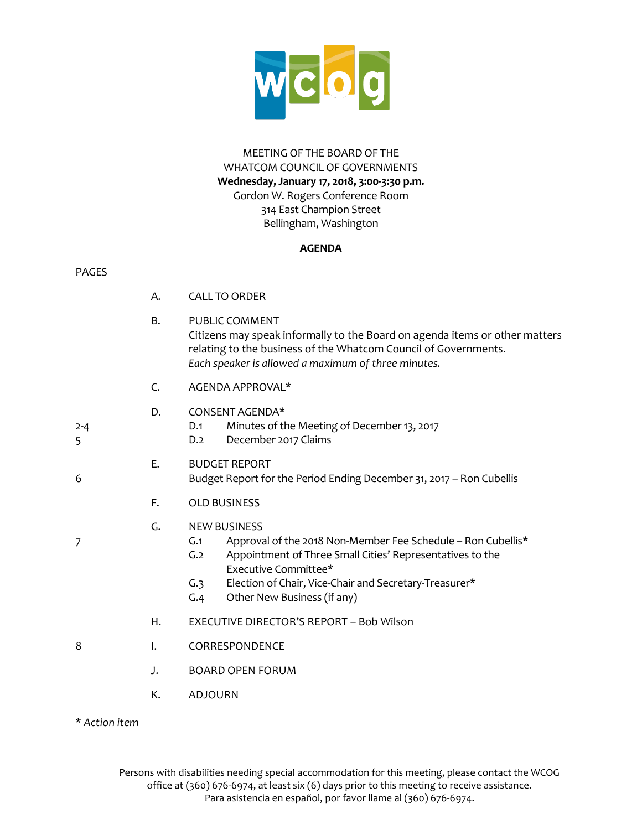

#### MEETING OF THE BOARD OF THE WHATCOM COUNCIL OF GOVERNMENTS **Wednesday, January 17, 2018, 3:00-3:30 p.m.**  Gordon W. Rogers Conference Room 314 East Champion Street Bellingham, Washington

#### **AGENDA**

#### PAGES

|              | А. | <b>CALL TO ORDER</b>                                                                                                                                                                                                                                                                          |
|--------------|----|-----------------------------------------------------------------------------------------------------------------------------------------------------------------------------------------------------------------------------------------------------------------------------------------------|
|              | B. | <b>PUBLIC COMMENT</b><br>Citizens may speak informally to the Board on agenda items or other matters<br>relating to the business of the Whatcom Council of Governments.<br>Each speaker is allowed a maximum of three minutes.                                                                |
|              | C. | AGENDA APPROVAL*                                                                                                                                                                                                                                                                              |
| $2 - 4$<br>5 | D. | CONSENT AGENDA*<br>Minutes of the Meeting of December 13, 2017<br>D.1<br>December 2017 Claims<br>D.2                                                                                                                                                                                          |
| 6            | Ε. | <b>BUDGET REPORT</b><br>Budget Report for the Period Ending December 31, 2017 - Ron Cubellis                                                                                                                                                                                                  |
|              | F. | <b>OLD BUSINESS</b>                                                                                                                                                                                                                                                                           |
| 7            | G. | <b>NEW BUSINESS</b><br>Approval of the 2018 Non-Member Fee Schedule - Ron Cubellis*<br>G.1<br>G.2<br>Appointment of Three Small Cities' Representatives to the<br>Executive Committee*<br>Election of Chair, Vice-Chair and Secretary-Treasurer*<br>G.3<br>Other New Business (if any)<br>G.4 |
|              | Η. | EXECUTIVE DIRECTOR'S REPORT - Bob Wilson                                                                                                                                                                                                                                                      |
| 8            | I. | CORRESPONDENCE                                                                                                                                                                                                                                                                                |
|              | J. | <b>BOARD OPEN FORUM</b>                                                                                                                                                                                                                                                                       |
|              | К. | <b>ADJOURN</b>                                                                                                                                                                                                                                                                                |
|              |    |                                                                                                                                                                                                                                                                                               |

**\*** *Action item*

Persons with disabilities needing special accommodation for this meeting, please contact the WCOG office at (360) 676-6974, at least six (6) days prior to this meeting to receive assistance. Para asistencia en español, por favor llame al (360) 676-6974.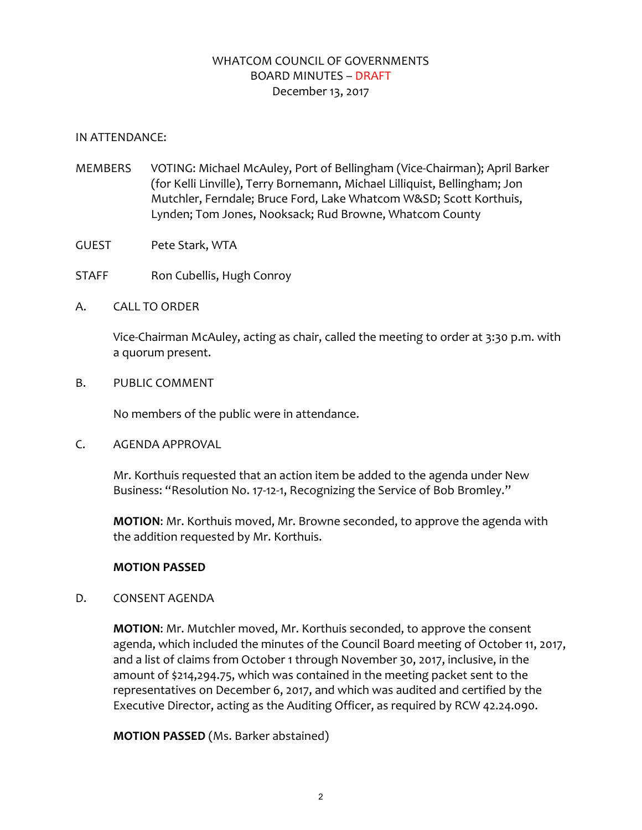# WHATCOM COUNCIL OF GOVERNMENTS BOARD MINUTES – DRAFT December 13, 2017

#### IN ATTENDANCE:

- MEMBERS VOTING: Michael McAuley, Port of Bellingham (Vice-Chairman); April Barker (for Kelli Linville), Terry Bornemann, Michael Lilliquist, Bellingham; Jon Mutchler, Ferndale; Bruce Ford, Lake Whatcom W&SD; Scott Korthuis, Lynden; Tom Jones, Nooksack; Rud Browne, Whatcom County
- GUEST Pete Stark, WTA
- STAFF Ron Cubellis, Hugh Conroy
- A. CALL TO ORDER

Vice-Chairman McAuley, acting as chair, called the meeting to order at 3:30 p.m. with a quorum present.

B. PUBLIC COMMENT

No members of the public were in attendance.

C. AGENDA APPROVAL

Mr. Korthuis requested that an action item be added to the agenda under New Business: "Resolution No. 17-12-1, Recognizing the Service of Bob Bromley."

**MOTION**: Mr. Korthuis moved, Mr. Browne seconded, to approve the agenda with the addition requested by Mr. Korthuis.

## **MOTION PASSED**

D. CONSENT AGENDA

**MOTION**: Mr. Mutchler moved, Mr. Korthuis seconded, to approve the consent agenda, which included the minutes of the Council Board meeting of October 11, 2017, and a list of claims from October 1 through November 30, 2017, inclusive, in the amount of \$214,294.75, which was contained in the meeting packet sent to the representatives on December 6, 2017, and which was audited and certified by the Executive Director, acting as the Auditing Officer, as required by RCW 42.24.090.

**MOTION PASSED** (Ms. Barker abstained)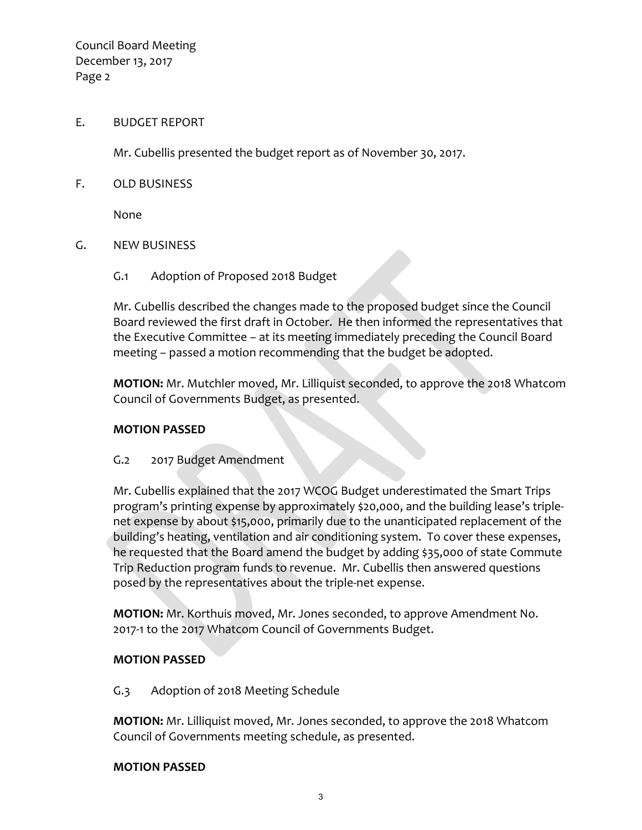Council Board Meeting December 13, 2017 Page 2

#### E. BUDGET REPORT

Mr. Cubellis presented the budget report as of November 30, 2017.

F. OLD BUSINESS

None

- G. NEW BUSINESS
	- G.1 Adoption of Proposed 2018 Budget

Mr. Cubellis described the changes made to the proposed budget since the Council Board reviewed the first draft in October. He then informed the representatives that the Executive Committee – at its meeting immediately preceding the Council Board meeting – passed a motion recommending that the budget be adopted.

**MOTION:** Mr. Mutchler moved, Mr. Lilliquist seconded, to approve the 2018 Whatcom Council of Governments Budget, as presented.

## **MOTION PASSED**

## G.2 2017 Budget Amendment

Mr. Cubellis explained that the 2017 WCOG Budget underestimated the Smart Trips program's printing expense by approximately \$20,000, and the building lease's triplenet expense by about \$15,000, primarily due to the unanticipated replacement of the building's heating, ventilation and air conditioning system. To cover these expenses, he requested that the Board amend the budget by adding \$35,000 of state Commute Trip Reduction program funds to revenue. Mr. Cubellis then answered questions posed by the representatives about the triple-net expense.

**MOTION:** Mr. Korthuis moved, Mr. Jones seconded, to approve Amendment No. 2017-1 to the 2017 Whatcom Council of Governments Budget.

## **MOTION PASSED**

G.3 Adoption of 2018 Meeting Schedule

**MOTION:** Mr. Lilliquist moved, Mr. Jones seconded, to approve the 2018 Whatcom Council of Governments meeting schedule, as presented.

#### **MOTION PASSED**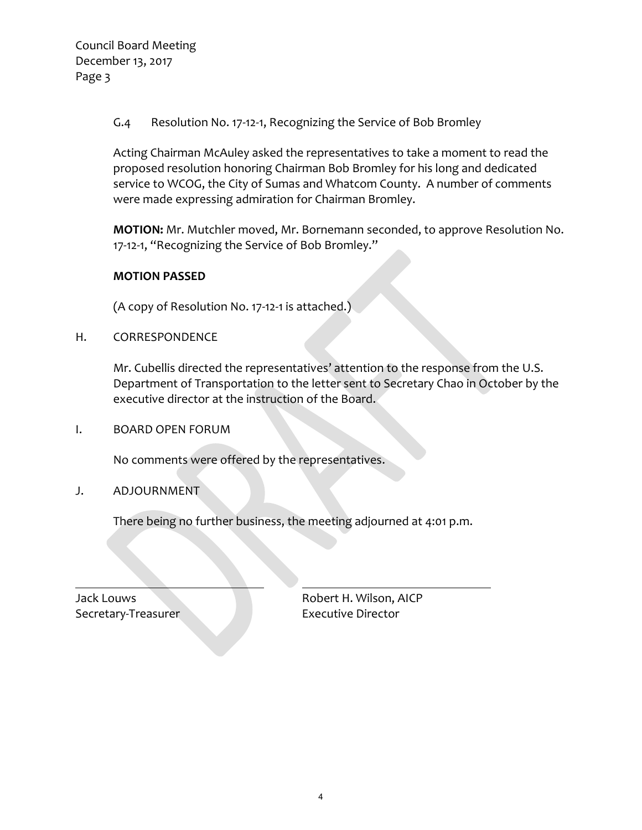Council Board Meeting December 13, 2017 Page 3

G.4 Resolution No. 17-12-1, Recognizing the Service of Bob Bromley

Acting Chairman McAuley asked the representatives to take a moment to read the proposed resolution honoring Chairman Bob Bromley for his long and dedicated service to WCOG, the City of Sumas and Whatcom County. A number of comments were made expressing admiration for Chairman Bromley.

**MOTION:** Mr. Mutchler moved, Mr. Bornemann seconded, to approve Resolution No. 17-12-1, "Recognizing the Service of Bob Bromley."

#### **MOTION PASSED**

(A copy of Resolution No. 17-12-1 is attached.)

H. CORRESPONDENCE

Mr. Cubellis directed the representatives' attention to the response from the U.S. Department of Transportation to the letter sent to Secretary Chao in October by the executive director at the instruction of the Board.

I. BOARD OPEN FORUM

No comments were offered by the representatives.

J. ADJOURNMENT

There being no further business, the meeting adjourned at 4:01 p.m.

Secretary-Treasurer **Executive Director** 

Jack Louws Robert H. Wilson, AICP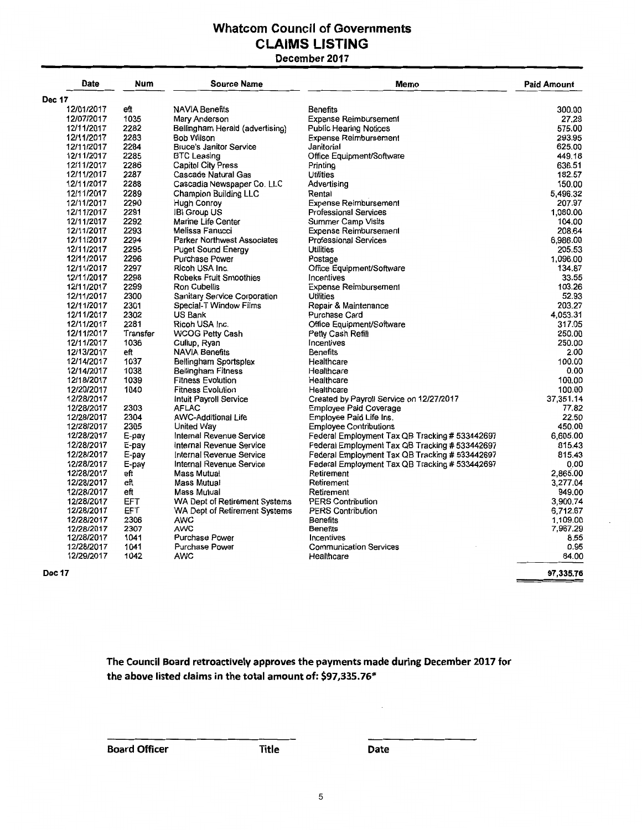# **Whatcom Council of Governments CLAIMS LISTING**

#### **December 2017**

| <b>Date</b>   | Num        | <b>Source Name</b>                 | Memo                                           | <b>Paid Amount</b> |
|---------------|------------|------------------------------------|------------------------------------------------|--------------------|
| <b>Dec 17</b> |            |                                    |                                                |                    |
| 12/01/2017    | eft        | <b>NAVIA Benefits</b>              | <b>Benefits</b>                                | 300.00             |
| 12/07/2017    | 1035       | Mary Anderson                      | <b>Expense Reimbursement</b>                   | 27.29              |
| 12/11/2017    | 2282       | Bellingham Herald (advertising)    | <b>Public Hearing Notices</b>                  | 575.00             |
| 12/11/2017    | 2283       | Bob Wilson                         | <b>Expense Reimbursement</b>                   | 293.95             |
| 12/11/2017    | 2284       | <b>Bruce's Janitor Service</b>     | Janitorial                                     | 625.00             |
| 12/11/2017    | 2285       | <b>BTC Leasing</b>                 | Office Equipment/Software                      | 449.18             |
| 12/11/2017    | 2286       | Capitol City Press                 | Printina                                       | 636.51             |
| 12/11/2017    | 2287       | Cascade Natural Gas                | <b>Utilities</b>                               | 182.57             |
| 12/11/2017    | 2288       | Cascadia Newspaper Co. LLC         | Advertising                                    | 150.00             |
| 12/11/2017    | 2289       |                                    | Rental                                         | 5,496.32           |
|               |            | <b>Champion Building LLC</b>       | <b>Expense Reimbursement</b>                   | 207.97             |
| 12/11/2017    | 2290       | <b>Hugh Conroy</b>                 |                                                | 1,080.00           |
| 12/11/2017    | 2291       | <b>IBI Group US</b>                | <b>Professional Services</b>                   | 104.00             |
| 12/11/2017    | 2292       | Marine Life Center                 | <b>Summer Camp Visits</b>                      | 208.64             |
| 12/11/2017    | 2293       | Melissa Fanucci                    | <b>Expense Reimbursement</b>                   |                    |
| 12/11/2017    | 2294       | <b>Parker Northwest Associates</b> | <b>Professional Services</b>                   | 6,986.00           |
| 12/11/2017    | 2295       | <b>Puget Sound Energy</b>          | <b>Utilities</b>                               | 205.53             |
| 12/11/2017    | 2296       | Purchase Power                     | Postage                                        | 1.096.00           |
| 12/11/2017    | 2297       | Ricoh USA Inc.                     | Office Equipment/Software                      | 134.87             |
| 12/11/2017    | 2298       | Robeks Fruit Smoothies             | Incentives                                     | 33.55              |
| 12/11/2017    | 2299       | Ron Cubellis                       | <b>Expense Reimbursement</b>                   | 103.26             |
| 12/11/2017    | 2300       | Sanitary Service Corporation       | <b>Utilities</b>                               | 52.93              |
| 12/11/2017    | 2301       | Special-T Window Films             | Repair & Maintenance                           | 203.27             |
| 12/11/2017    | 2302       | US Bank                            | <b>Purchase Card</b>                           | 4.053.31           |
| 12/11/2017    | 2281       | Ricoh USA Inc.                     | Office Equipment/Software                      | 317.05             |
| 12/11/2017    | Transfer   | <b>WCOG Petty Cash</b>             | Petty Cash Refill                              | 250.00             |
| 12/11/2017    | 1036       | Cullup, Ryan                       | Incentives                                     | 250.00             |
| 12/13/2017    | eft        | <b>NAVIA Benefits</b>              | <b>Benefits</b>                                | 2.00               |
| 12/14/2017    | 1037       | Bellingham Sportsplex              | Healthcare                                     | 100.00             |
| 12/14/2017    | 1038       | <b>Bellingham Fitness</b>          | Healthcare                                     | 0.00               |
| 12/18/2017    | 1039       | <b>Fitness Evolution</b>           | Healthcare                                     | 100.00             |
| 12/20/2017    | 1040       | <b>Fitness Evolution</b>           | Healthcare                                     | 100.00             |
| 12/28/2017    |            | <b>Intuit Payroll Service</b>      | Created by Payroll Service on 12/27/2017       | 37,351.14          |
| 12/28/2017    | 2303       | <b>AFLAC</b>                       | <b>Employee Paid Coverage</b>                  | 77.82              |
| 12/28/2017    | 2304       | <b>AWC-Additional Life</b>         | Employee Paid Life Ins.                        | 22.50              |
| 12/28/2017    | 2305       | <b>United Wav</b>                  | <b>Employee Contributions</b>                  | 450.00             |
| 12/28/2017    | E-pay      | Internal Revenue Service           | Federal Employment Tax QB Tracking # 533442697 | 6.605.00           |
| 12/28/2017    | E-pay      | Internal Revenue Service           | Federal Employment Tax QB Tracking # 533442697 | 815.43             |
| 12/28/2017    | E-pay      | Internal Revenue Service           | Federal Employment Tax QB Tracking # 533442697 | 815.43             |
| 12/28/2017    | E-pay      | Internal Revenue Service           | Federal Employment Tax QB Tracking # 533442697 | 0.00               |
| 12/28/2017    | eft        | Mass Mutual                        | Retirement                                     | 2,865.00           |
| 12/28/2017    | eft        | Mass Mutual                        | Retirement                                     | 3,277.04           |
| 12/28/2017    | eft        | Mass Mutual                        | Retirement                                     | 949.00             |
| 12/28/2017    | <b>EFT</b> | WA Dept of Retirement Systems      | <b>PERS Contribution</b>                       | 3.900.74           |
| 12/28/2017    | <b>EFT</b> | WA Dept of Retirement Systems      | <b>PERS Contribution</b>                       | 6,712.67           |
| 12/28/2017    | 2306       | <b>AWC</b>                         | <b>Benefits</b>                                | 1,109.00           |
| 12/28/2017    | 2307       | <b>AWC</b>                         | <b>Benefits</b>                                | 7,967.29           |
| 12/28/2017    | 1041       | Purchase Power                     | Incentives                                     | 8.55               |
| 12/28/2017    | 1041       | <b>Purchase Power</b>              | <b>Communication Services</b>                  | 0.95               |
| 12/29/2017    | 1042       | <b>AWC</b>                         | Healthcare                                     | 84.00              |
| <b>Dec 17</b> |            |                                    |                                                | 97,335.76          |

**The Council Board retroactively approves the payments made during December 2017 for the above listed claims in the total amount of: \$97,335.76\*** 

**Board Officer Title Construction Construction Date**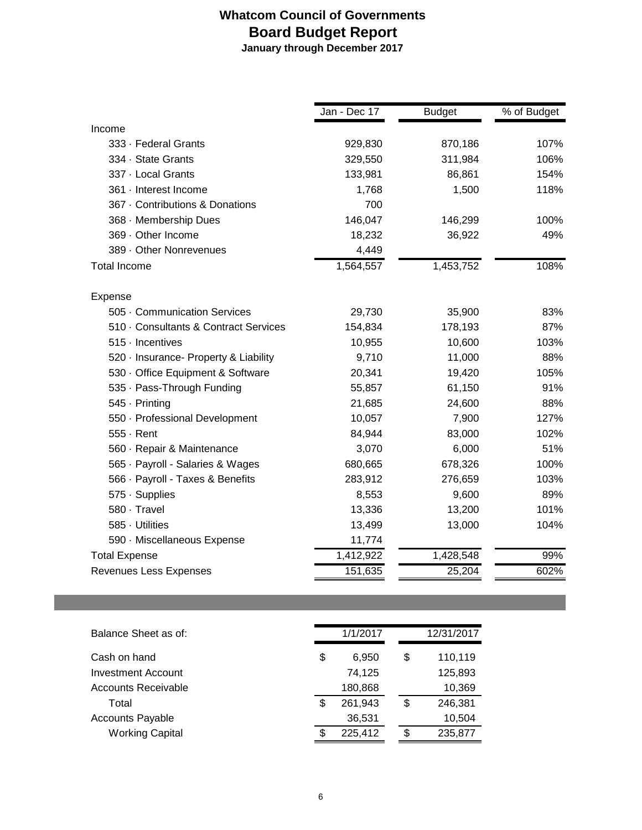# **Whatcom Council of Governments Board Budget Report**

 **January through December 2017**

|                                       | Jan - Dec 17 | <b>Budget</b> | % of Budget |
|---------------------------------------|--------------|---------------|-------------|
| Income                                |              |               |             |
| 333 · Federal Grants                  | 929,830      | 870,186       | 107%        |
| 334 · State Grants                    | 329,550      | 311,984       | 106%        |
| 337 - Local Grants                    | 133,981      | 86,861        | 154%        |
| 361 · Interest Income                 | 1,768        | 1,500         | 118%        |
| 367 · Contributions & Donations       | 700          |               |             |
| 368 · Membership Dues                 | 146,047      | 146,299       | 100%        |
| 369 · Other Income                    | 18,232       | 36,922        | 49%         |
| 389 - Other Nonrevenues               | 4,449        |               |             |
| <b>Total Income</b>                   | 1,564,557    | 1,453,752     | 108%        |
| Expense                               |              |               |             |
| 505 Communication Services            | 29,730       | 35,900        | 83%         |
| 510 Consultants & Contract Services   | 154,834      | 178,193       | 87%         |
| $515$ $\cdot$ Incentives              | 10,955       | 10,600        | 103%        |
| 520 · Insurance- Property & Liability | 9,710        | 11,000        | 88%         |
| 530 · Office Equipment & Software     | 20,341       | 19,420        | 105%        |
| 535 · Pass-Through Funding            | 55,857       | 61,150        | 91%         |
| 545 · Printing                        | 21,685       | 24,600        | 88%         |
| 550 · Professional Development        | 10,057       | 7,900         | 127%        |
| $555 -$ Rent                          | 84,944       | 83,000        | 102%        |
| 560 · Repair & Maintenance            | 3,070        | 6,000         | 51%         |
| 565 · Payroll - Salaries & Wages      | 680,665      | 678,326       | 100%        |
| 566 · Payroll - Taxes & Benefits      | 283,912      | 276,659       | 103%        |
| 575 · Supplies                        | 8,553        | 9,600         | 89%         |
| 580 · Travel                          | 13,336       | 13,200        | 101%        |
| 585 · Utilities                       | 13,499       | 13,000        | 104%        |
| 590 · Miscellaneous Expense           | 11,774       |               |             |
| <b>Total Expense</b>                  | 1,412,922    | 1,428,548     | 99%         |
| Revenues Less Expenses                | 151,635      | 25,204        | 602%        |

| Balance Sheet as of:    | 1/1/2017      | 12/31/2017    |
|-------------------------|---------------|---------------|
| Cash on hand            | \$<br>6.950   | \$<br>110,119 |
| Investment Account      | 74.125        | 125.893       |
| Accounts Receivable     | 180,868       | 10,369        |
| Total                   | \$<br>261.943 | \$<br>246,381 |
| <b>Accounts Payable</b> | 36,531        | 10,504        |
| <b>Working Capital</b>  | \$<br>225,412 | \$<br>235,877 |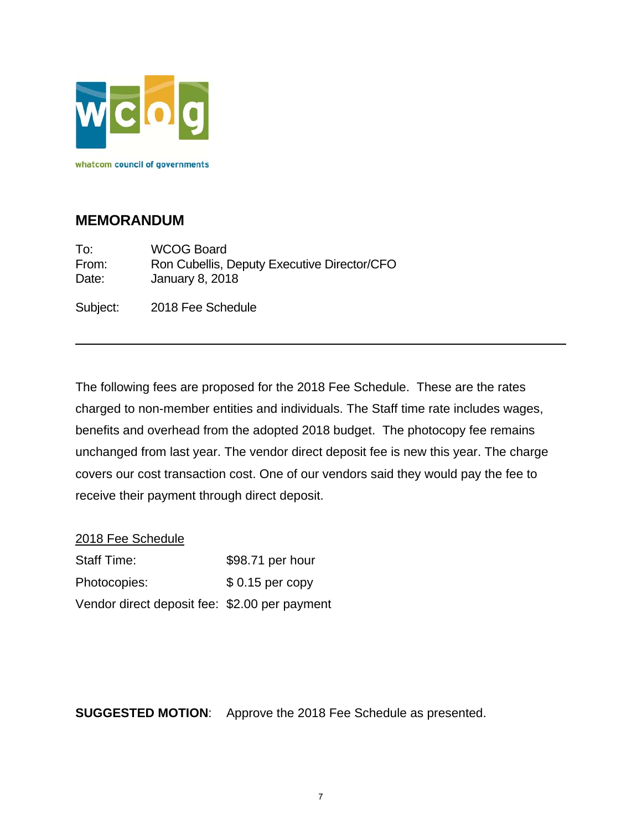

# **MEMORANDUM**

To: WCOG Board From: Ron Cubellis, Deputy Executive Director/CFO Date: January 8, 2018

Subject: 2018 Fee Schedule

The following fees are proposed for the 2018 Fee Schedule. These are the rates charged to non-member entities and individuals. The Staff time rate includes wages, benefits and overhead from the adopted 2018 budget. The photocopy fee remains unchanged from last year. The vendor direct deposit fee is new this year. The charge covers our cost transaction cost. One of our vendors said they would pay the fee to receive their payment through direct deposit.

## 2018 Fee Schedule

| <b>Staff Time:</b>                            | \$98.71 per hour |
|-----------------------------------------------|------------------|
| Photocopies:                                  | $$0.15$ per copy |
| Vendor direct deposit fee: \$2.00 per payment |                  |

**SUGGESTED MOTION**: Approve the 2018 Fee Schedule as presented.